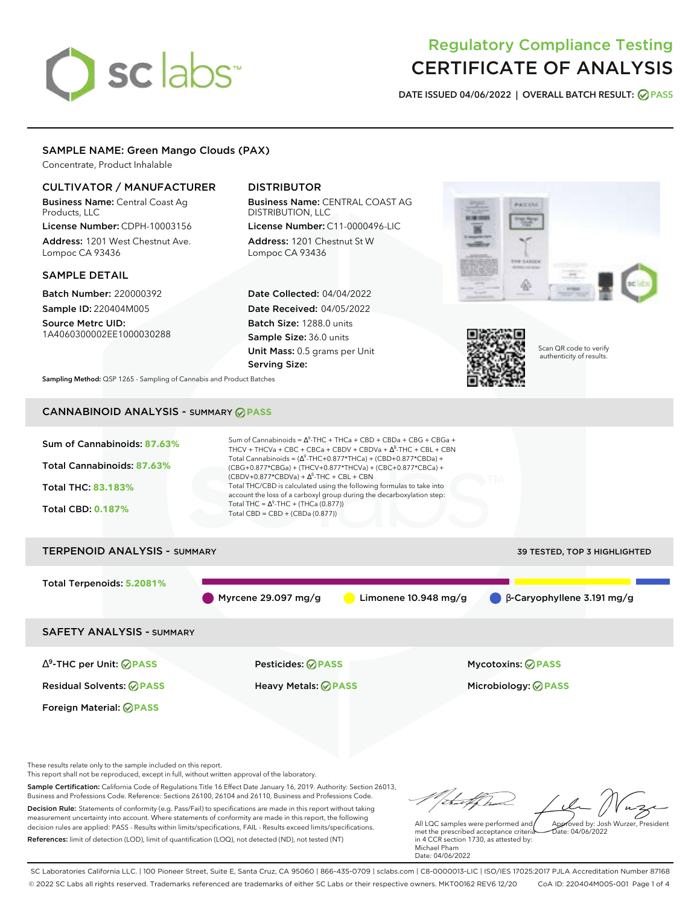# sclabs<sup>\*</sup>

# Regulatory Compliance Testing CERTIFICATE OF ANALYSIS

**DATE ISSUED 04/06/2022 | OVERALL BATCH RESULT: PASS**

# SAMPLE NAME: Green Mango Clouds (PAX)

Concentrate, Product Inhalable

# CULTIVATOR / MANUFACTURER

Business Name: Central Coast Ag Products, LLC

License Number: CDPH-10003156 Address: 1201 West Chestnut Ave. Lompoc CA 93436

# SAMPLE DETAIL

Batch Number: 220000392 Sample ID: 220404M005 Source Metrc UID:

1A4060300002EE1000030288

# DISTRIBUTOR

Business Name: CENTRAL COAST AG DISTRIBUTION, LLC License Number: C11-0000496-LIC

Address: 1201 Chestnut St W Lompoc CA 93436

Date Collected: 04/04/2022 Date Received: 04/05/2022 Batch Size: 1288.0 units Sample Size: 36.0 units Unit Mass: 0.5 grams per Unit Serving Size:





Scan QR code to verify authenticity of results.

**Sampling Method:** QSP 1265 - Sampling of Cannabis and Product Batches

# CANNABINOID ANALYSIS - SUMMARY **PASS**



This report shall not be reproduced, except in full, without written approval of the laboratory.

Sample Certification: California Code of Regulations Title 16 Effect Date January 16, 2019. Authority: Section 26013, Business and Professions Code. Reference: Sections 26100, 26104 and 26110, Business and Professions Code. Decision Rule: Statements of conformity (e.g. Pass/Fail) to specifications are made in this report without taking measurement uncertainty into account. Where statements of conformity are made in this report, the following decision rules are applied: PASS - Results within limits/specifications, FAIL - Results exceed limits/specifications.

References: limit of detection (LOD), limit of quantification (LOQ), not detected (ND), not tested (NT)

tu of h Approved by: Josh Wurzer, President

 $ate: 04/06/2022$ 

All LQC samples were performed and met the prescribed acceptance criteria in 4 CCR section 1730, as attested by: Michael Pham Date: 04/06/2022

SC Laboratories California LLC. | 100 Pioneer Street, Suite E, Santa Cruz, CA 95060 | 866-435-0709 | sclabs.com | C8-0000013-LIC | ISO/IES 17025:2017 PJLA Accreditation Number 87168 © 2022 SC Labs all rights reserved. Trademarks referenced are trademarks of either SC Labs or their respective owners. MKT00162 REV6 12/20 CoA ID: 220404M005-001 Page 1 of 4